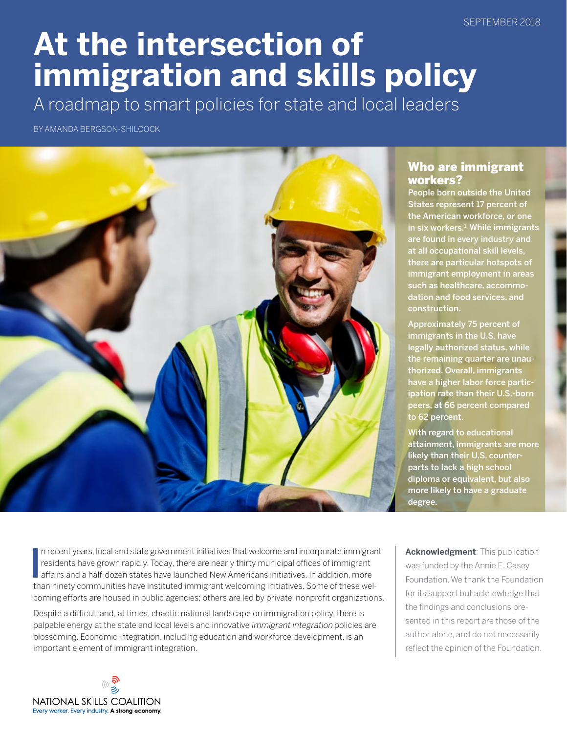SEPTEMBER 2018

# **At the intersection of immigration and skills policy**

A roadmap to smart policies for state and local leaders

BY AMANDA BERGSON-SHILCOCK



## Who are immigrant workers?

People born outside the United States represent 17 percent of the American workforce, or one in six workers.<sup>1</sup> While immigrants are found in every industry and at all occupational skill levels, there are particular hotspots of immigrant employment in areas such as healthcare, accommodation and food services, and construction.

Approximately 75 percent of immigrants in the U.S. have legally authorized status, while the remaining quarter are unauthorized. Overall, immigrants have a higher labor force participation rate than their U.S.-born peers, at 66 percent compared to 62 percent.

With regard to educational attainment, immigrants are more likely than their U.S. counterparts to lack a high school diploma or equivalent, but also more likely to have a graduate degree.

In recent years, local and state government initiatives that welcome and incorporate immigral residents have grown rapidly. Today, there are nearly thirty municipal offices of immigrant affairs and a half-dozen states have n recent years, local and state government initiatives that welcome and incorporate immigrant residents have grown rapidly. Today, there are nearly thirty municipal offices of immigrant than ninety communities have instituted immigrant welcoming initiatives. Some of these welcoming efforts are housed in public agencies; others are led by private, nonprofit organizations.

Despite a difficult and, at times, chaotic national landscape on immigration policy, there is palpable energy at the state and local levels and innovative immigrant integration policies are blossoming. Economic integration, including education and workforce development, is an important element of immigrant integration.

**Acknowledgment**: This publication was funded by the Annie E. Casey Foundation. We thank the Foundation for its support but acknowledge that the findings and conclusions presented in this report are those of the author alone, and do not necessarily reflect the opinion of the Foundation.

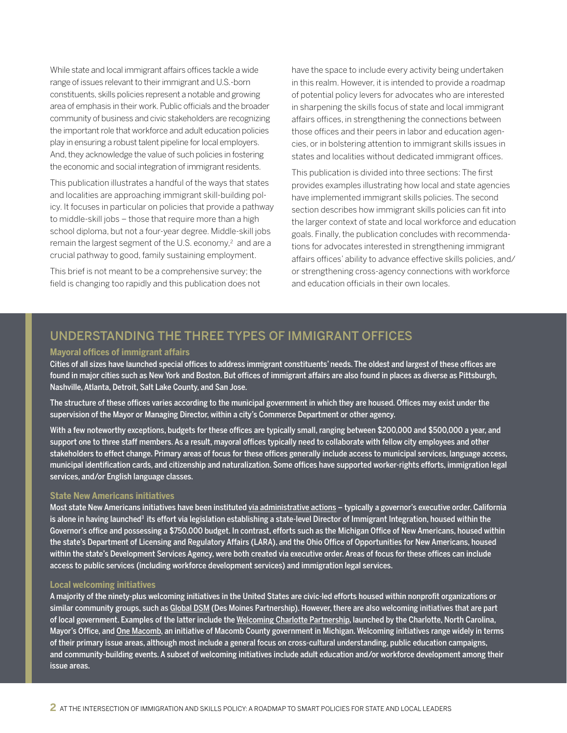While state and local immigrant affairs offices tackle a wide range of issues relevant to their immigrant and U.S.-born constituents, skills policies represent a notable and growing area of emphasis in their work. Public officials and the broader community of business and civic stakeholders are recognizing the important role that workforce and adult education policies play in ensuring a robust talent pipeline for local employers. And, they acknowledge the value of such policies in fostering the economic and social integration of immigrant residents.

This publication illustrates a handful of the ways that states and localities are approaching immigrant skill-building policy. It focuses in particular on policies that provide a pathway to middle-skill jobs – those that require more than a high school diploma, but not a four-year degree. Middle-skill jobs remain the largest segment of the U.S. economy,<sup>2</sup> and are a crucial pathway to good, family sustaining employment.

This brief is not meant to be a comprehensive survey; the field is changing too rapidly and this publication does not have the space to include every activity being undertaken in this realm. However, it is intended to provide a roadmap of potential policy levers for advocates who are interested in sharpening the skills focus of state and local immigrant affairs offices, in strengthening the connections between those offices and their peers in labor and education agencies, or in bolstering attention to immigrant skills issues in states and localities without dedicated immigrant offices.

This publication is divided into three sections: The first provides examples illustrating how local and state agencies have implemented immigrant skills policies. The second section describes how immigrant skills policies can fit into the larger context of state and local workforce and education goals. Finally, the publication concludes with recommendations for advocates interested in strengthening immigrant affairs offices' ability to advance effective skills policies, and/ or strengthening cross-agency connections with workforce and education officials in their own locales.

## UNDERSTANDING THE THREE TYPES OF IMMIGRANT OFFICES

#### **Mayoral offices of immigrant affairs**

Cities of all sizes have launched special offices to address immigrant constituents' needs. The oldest and largest of these offices are found in major cities such as New York and Boston. But offices of immigrant affairs are also found in places as diverse as Pittsburgh, Nashville, Atlanta, Detroit, Salt Lake County, and San Jose.

The structure of these offices varies according to the municipal government in which they are housed. Offices may exist under the supervision of the Mayor or Managing Director, within a city's Commerce Department or other agency.

With a few noteworthy exceptions, budgets for these offices are typically small, ranging between \$200,000 and \$500,000 a year, and support one to three staff members. As a result, mayoral offices typically need to collaborate with fellow city employees and other stakeholders to effect change. Primary areas of focus for these offices generally include access to municipal services, language access, municipal identification cards, and citizenship and naturalization. Some offices have supported worker-rights efforts, immigration legal services, and/or English language classes.

#### **State New Americans initiatives**

Most state New Americans initiatives have been instituted [via administrative actions](http://www.pewtrusts.org/en/research-and-analysis/articles/2015/09/17/state-immigration-policy-offices-3-takeaways) - typically a governor's executive order. California is alone in having launched<sup>3</sup> its effort via legislation establishing a state-level Director of Immigrant Integration, housed within the Governor's office and possessing a \$750,000 budget. In contrast, efforts such as the Michigan Office of New Americans, housed within the state's Department of Licensing and Regulatory Affairs (LARA), and the Ohio Office of Opportunities for New Americans, housed within the state's Development Services Agency, were both created via executive order. Areas of focus for these offices can include access to public services (including workforce development services) and immigration legal services.

#### **Local welcoming initiatives**

A majority of the ninety-plus welcoming initiatives in the United States are civic-led efforts housed within nonprofit organizations or similar community groups, such as [Global DSM](https://www.dsmpartnership.com/filesimages/Growing%20Business%20Here/PDF/2016_GlobalDSM_InternationalTalentStrategy%20(1).pdf) (Des Moines Partnership). However, there are also welcoming initiatives that are part of local government. Examples of the latter include the [Welcoming Charlotte Partnership](http://charlottenc.gov/international-relations/inltcommunity/Pages/Welcoming-Partnership.aspx), launched by the Charlotte, North Carolina, Mayor's Office, and [One Macomb,](http://people.macombgov.org/People-About) an initiative of Macomb County government in Michigan. Welcoming initiatives range widely in terms of their primary issue areas, although most include a general focus on cross-cultural understanding, public education campaigns, and community-building events. A subset of welcoming initiatives include adult education and/or workforce development among their issue areas.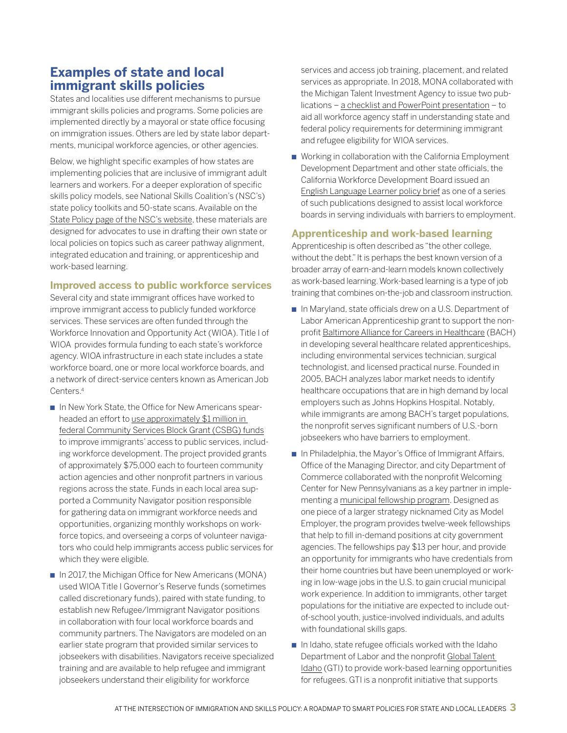# **Examples of state and local immigrant skills policies**

States and localities use different mechanisms to pursue immigrant skills policies and programs. Some policies are implemented directly by a mayoral or state office focusing on immigration issues. Others are led by state labor departments, municipal workforce agencies, or other agencies.

Below, we highlight specific examples of how states are implementing policies that are inclusive of immigrant adult learners and workers. For a deeper exploration of specific skills policy models, see National Skills Coalition's (NSC's) state policy toolkits and 50-state scans. Available on the [State Policy page of the NSC's website,](https://www.nationalskillscoalition.org/state-policy) these materials are designed for advocates to use in drafting their own state or local policies on topics such as career pathway alignment, integrated education and training, or apprenticeship and work-based learning.

#### **Improved access to public workforce services**

Several city and state immigrant offices have worked to improve immigrant access to publicly funded workforce services. These services are often funded through the Workforce Innovation and Opportunity Act (WIOA). Title I of WIOA provides formula funding to each state's workforce agency. WIOA infrastructure in each state includes a state workforce board, one or more local workforce boards, and a network of direct-service centers known as American Job Centers.4

- n In New York State, the Office for New Americans spearheaded an effort to use approximately \$1 million in [federal Community Services Block Grant \(CSBG\) funds](https://www.nationalskillscoalition.org/news/blog/new-york-state-funds-community-navigators-project-for-low-income-immigrants) to improve immigrants' access to public services, including workforce development. The project provided grants of approximately \$75,000 each to fourteen community action agencies and other nonprofit partners in various regions across the state. Funds in each local area supported a Community Navigator position responsible for gathering data on immigrant workforce needs and opportunities, organizing monthly workshops on workforce topics, and overseeing a corps of volunteer navigators who could help immigrants access public services for which they were eligible.
- n In 2017, the Michigan Office for New Americans (MONA) used WIOA Title I Governor's Reserve funds (sometimes called discretionary funds), paired with state funding, to establish new Refugee/Immigrant Navigator positions in collaboration with four local workforce boards and community partners. The Navigators are modeled on an earlier state program that provided similar services to jobseekers with disabilities. Navigators receive specialized training and are available to help refugee and immigrant jobseekers understand their eligibility for workforce

services and access job training, placement, and related services as appropriate. In 2018, MONA collaborated with the Michigan Talent Investment Agency to issue two publications – [a checklist and PowerPoint presentation](https://www.nationalskillscoalition.org/news/blog/michigan-releases-new-materials-on-determining-immigrant-eligibility-for-wioa-title-i-services) – to aid all workforce agency staff in understanding state and federal policy requirements for determining immigrant and refugee eligibility for WIOA services.

■ Working in collaboration with the California Employment Development Department and other state officials, the California Workforce Development Board issued an [English Language Learner policy brief](https://cwdb.ca.gov/wp-content/uploads/sites/43/2016/08/LEP-Policy-Brief-Final-Draft-01.26.17.pdf) as one of a series of such publications designed to assist local workforce boards in serving individuals with barriers to employment.

#### **Apprenticeship and work-based learning**

Apprenticeship is often described as "the other college, without the debt." It is perhaps the best known version of a broader array of earn-and-learn models known collectively as work-based learning. Work-based learning is a type of job training that combines on-the-job and classroom instruction.

- n In Maryland, state officials drew on a U.S. Department of Labor American Apprenticeship grant to support the nonprofit [Baltimore Alliance for Careers in Healthcare](http://www.baltimorealliance.org/) (BACH) in developing several healthcare related apprenticeships, including environmental services technician, surgical technologist, and licensed practical nurse. Founded in 2005, BACH analyzes labor market needs to identify healthcare occupations that are in high demand by local employers such as Johns Hopkins Hospital. Notably, while immigrants are among BACH's target populations, the nonprofit serves significant numbers of U.S.-born jobseekers who have barriers to employment.
- n In Philadelphia, the Mayor's Office of Immigrant Affairs, Office of the Managing Director, and city Department of Commerce collaborated with the nonprofit Welcoming Center for New Pennsylvanians as a key partner in implementing a [municipal fellowship program.](https://www.nationalskillscoalition.org/news/blog/philadelphia-launches-city-fellowship-to-match-jobseekers-with-in-demand-positions-in-municipal-government) Designed as one piece of a larger strategy nicknamed City as Model Employer, the program provides twelve-week fellowships that help to fill in-demand positions at city government agencies. The fellowships pay \$13 per hour, and provide an opportunity for immigrants who have credentials from their home countries but have been unemployed or working in low-wage jobs in the U.S. to gain crucial municipal work experience. In addition to immigrants, other target populations for the initiative are expected to include outof-school youth, justice-involved individuals, and adults with foundational skills gaps.
- $\blacksquare$  In Idaho, state refugee officials worked with the Idaho Department of Labor and the nonprofit Global Talent [Idaho](http://www.globaltalentidaho.org/) (GTI) to provide work-based learning opportunities for refugees. GTI is a nonprofit initiative that supports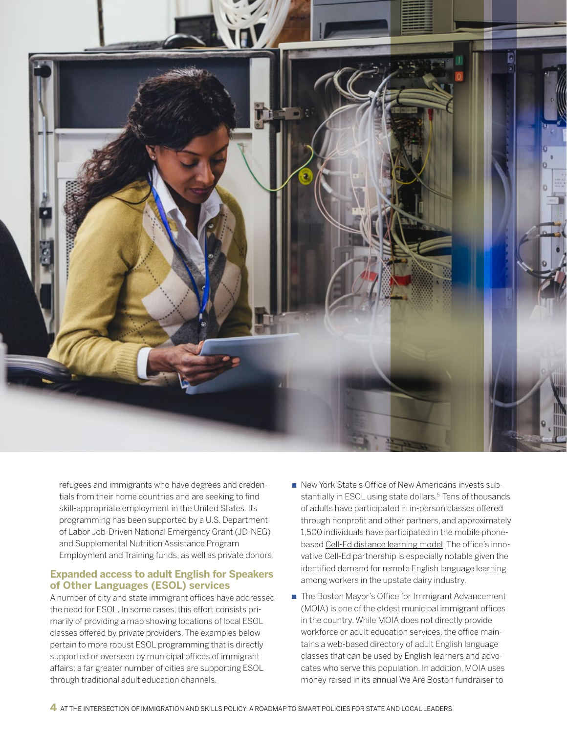

refugees and immigrants who have degrees and credentials from their home countries and are seeking to find skill-appropriate employment in the United States. Its programming has been supported by a U.S. Department of Labor Job-Driven National Emergency Grant (JD-NEG) and Supplemental Nutrition Assistance Program Employment and Training funds, as well as private donors.

#### **Expanded access to adult English for Speakers of Other Languages (ESOL) services**

A number of city and state immigrant offices have addressed the need for ESOL. In some cases, this effort consists primarily of providing a map showing locations of local ESOL classes offered by private providers. The examples below pertain to more robust ESOL programming that is directly supported or overseen by municipal offices of immigrant affairs; a far greater number of cities are supporting ESOL through traditional adult education channels.

- n New York State's Office of New Americans invests substantially in ESOL using state dollars.<sup>5</sup> Tens of thousands of adults have participated in in-person classes offered through nonprofit and other partners, and approximately 1,500 individuals have participated in the mobile phonebased [Cell-Ed distance learning model](https://www.cell-ed.com/designing-from-the-bottom-up-a-partnership-with-new-york-states-office-for-new-americans/). The office's innovative Cell-Ed partnership is especially notable given the identified demand for remote English language learning among workers in the upstate dairy industry.
- The Boston Mayor's Office for Immigrant Advancement (MOIA) is one of the oldest municipal immigrant offices in the country. While MOIA does not directly provide workforce or adult education services, the office maintains a web-based directory of adult English language classes that can be used by English learners and advocates who serve this population. In addition, MOIA uses money raised in its annual We Are Boston fundraiser to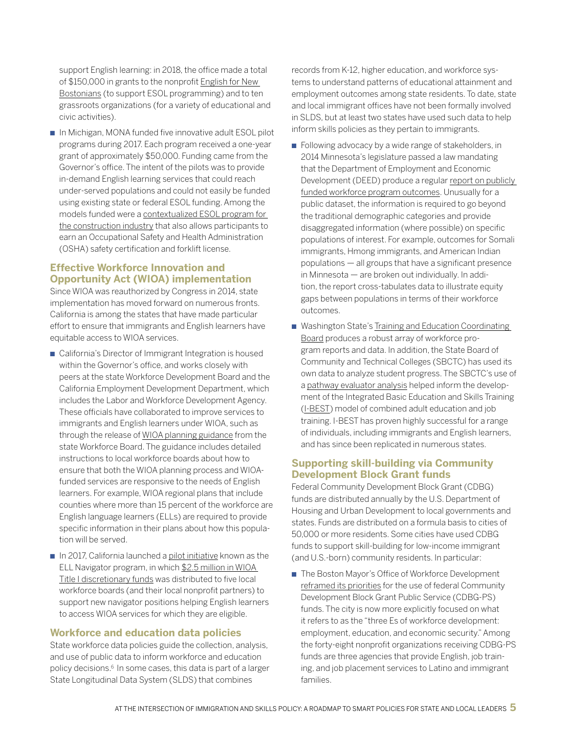support English learning: in 2018, the office made a total of \$150,000 in grants to the nonprofit [English for New](http://www.Englishfornewbostonians.org)  [Bostonians](http://www.Englishfornewbostonians.org) (to support ESOL programming) and to ten grassroots organizations (for a variety of educational and civic activities).

n In Michigan, MONA funded five innovative adult ESOL pilot programs during 2017. Each program received a one-year grant of approximately \$50,000. Funding came from the Governor's office. The intent of the pilots was to provide in-demand English learning services that could reach under-served populations and could not easily be funded using existing state or federal ESOL funding. Among the models funded were a [contextualized ESOL program for](http://www.mlive.com/news/grand-rapids/index.ssf/2016/12/literacy_center_gets_share_of.html)  [the construction industry](http://www.mlive.com/news/grand-rapids/index.ssf/2016/12/literacy_center_gets_share_of.html) that also allows participants to earn an Occupational Safety and Health Administration (OSHA) safety certification and forklift license.

#### **Effective Workforce Innovation and Opportunity Act (WIOA) implementation**

Since WIOA was reauthorized by Congress in 2014, state implementation has moved forward on numerous fronts. California is among the states that have made particular effort to ensure that immigrants and English learners have equitable access to WIOA services.

- California's Director of Immigrant Integration is housed within the Governor's office, and works closely with peers at the state Workforce Development Board and the California Employment Development Department, which includes the Labor and Workforce Development Agency. These officials have collaborated to improve services to immigrants and English learners under WIOA, such as through the release of [WIOA planning guidance](https://www.edd.ca.gov/Jobs_and_Training/pubs/wsd18-01.pdf) from the state Workforce Board. The guidance includes detailed instructions to local workforce boards about how to ensure that both the WIOA planning process and WIOAfunded services are responsive to the needs of English learners. For example, WIOA regional plans that include counties where more than 15 percent of the workforce are English language learners (ELLs) are required to provide specific information in their plans about how this population will be served.
- $\blacksquare$  In 2017, California launched a [pilot initiative](https://cwdb.ca.gov/initiatives/english-language-learners-immigration-initiatives/background-information-on-the-ell-navigator-rfa-process-awardees/) known as the ELL Navigator program, in which \$2.5 million in WIOA [Title I discretionary funds](https://www.nationalskillscoalition.org/news/blog/california-uses-2-5-million-in-wioa-discretionary-funds-to-support-workforce-navigation-for-immigrants) was distributed to five local workforce boards (and their local nonprofit partners) to support new navigator positions helping English learners to access WIOA services for which they are eligible.

#### **Workforce and education data policies**

State workforce data policies guide the collection, analysis, and use of public data to inform workforce and education policy decisions.6 In some cases, this data is part of a larger State Longitudinal Data System (SLDS) that combines

records from K-12, higher education, and workforce systems to understand patterns of educational attainment and employment outcomes among state residents. To date, state and local immigrant offices have not been formally involved in SLDS, but at least two states have used such data to help inform skills policies as they pertain to immigrants.

- Following advocacy by a wide range of stakeholders, in 2014 Minnesota's legislature passed a law mandating that the Department of Employment and Economic Development (DEED) produce a regular [report on publicly](https://mn.gov/deed/assets/workforce-program-outcomes_tcm1045-132789.pdf)  [funded workforce program outcomes](https://mn.gov/deed/assets/workforce-program-outcomes_tcm1045-132789.pdf). Unusually for a public dataset, the information is required to go beyond the traditional demographic categories and provide disaggregated information (where possible) on specific populations of interest. For example, outcomes for Somali immigrants, Hmong immigrants, and American Indian populations — all groups that have a significant presence in Minnesota — are broken out individually. In addition, the report cross-tabulates data to illustrate equity gaps between populations in terms of their workforce outcomes.
- Washington State's Training and Education Coordinating [Board](http://wtb.wa.gov/WTR2017.asp) produces a robust array of workforce program reports and data. In addition, the State Board of Community and Technical Colleges (SBCTC) has used its own data to analyze student progress. The SBCTC's use of a [pathway evaluator analysis](https://www.nationalskillscoalition.org/resources/publications/file/SWEAP_Pathway_Evaluator_Report.pdf) helped inform the development of the Integrated Basic Education and Skills Training ([I-BEST](https://www.sbctc.edu/colleges-staff/programs-services/i-best/)) model of combined adult education and job training. I-BEST has proven highly successful for a range of individuals, including immigrants and English learners, and has since been replicated in numerous states.

#### **Supporting skill-building via Community Development Block Grant funds**

Federal Community Development Block Grant (CDBG) funds are distributed annually by the U.S. Department of Housing and Urban Development to local governments and states. Funds are distributed on a formula basis to cities of 50,000 or more residents. Some cities have used CDBG funds to support skill-building for low-income immigrant (and U.S.-born) community residents. In particular:

■ The Boston Mayor's Office of Workforce Development [reframed its priorities](https://owd.boston.gov/cdbg-grants-prioritize-workforce-programming/) for the use of federal Community Development Block Grant Public Service (CDBG-PS) funds. The city is now more explicitly focused on what it refers to as the "three Es of workforce development: employment, education, and economic security." Among the forty-eight nonprofit organizations receiving CDBG-PS funds are three agencies that provide English, job training, and job placement services to Latino and immigrant families.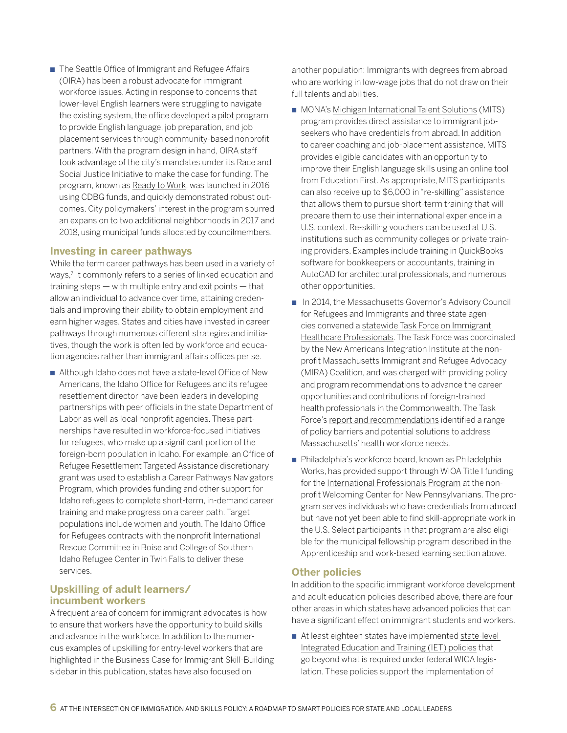■ The Seattle Office of Immigrant and Refugee Affairs (OIRA) has been a robust advocate for immigrant workforce issues. Acting in response to concerns that lower-level English learners were struggling to navigate the existing system, the office [developed a pilot program](https://www.nationalskillscoalition.org/news/blog/ready-to-work-seattle-creates-new-on-ramp-for-immigrant-english-learners) to provide English language, job preparation, and job placement services through community-based nonprofit partners. With the program design in hand, OIRA staff took advantage of the city's mandates under its Race and Social Justice Initiative to make the case for funding. The program, known as [Ready to Work,](http://www.seattle.gov/iandraffairs/RTW) was launched in 2016 using CDBG funds, and quickly demonstrated robust outcomes. City policymakers' interest in the program spurred an expansion to two additional neighborhoods in 2017 and 2018, using municipal funds allocated by councilmembers.

#### **Investing in career pathways**

While the term career pathways has been used in a variety of ways,<sup>7</sup> it commonly refers to a series of linked education and training steps — with multiple entry and exit points — that allow an individual to advance over time, attaining credentials and improving their ability to obtain employment and earn higher wages. States and cities have invested in career pathways through numerous different strategies and initiatives, though the work is often led by workforce and education agencies rather than immigrant affairs offices per se.

■ Although Idaho does not have a state-level Office of New Americans, the Idaho Office for Refugees and its refugee resettlement director have been leaders in developing partnerships with peer officials in the state Department of Labor as well as local nonprofit agencies. These partnerships have resulted in workforce-focused initiatives for refugees, who make up a significant portion of the foreign-born population in Idaho. For example, an Office of Refugee Resettlement Targeted Assistance discretionary grant was used to establish a Career Pathways Navigators Program, which provides funding and other support for Idaho refugees to complete short-term, in-demand career training and make progress on a career path. Target populations include women and youth. The Idaho Office for Refugees contracts with the nonprofit International Rescue Committee in Boise and College of Southern Idaho Refugee Center in Twin Falls to deliver these services.

#### **Upskilling of adult learners/ incumbent workers**

A frequent area of concern for immigrant advocates is how to ensure that workers have the opportunity to build skills and advance in the workforce. In addition to the numerous examples of upskilling for entry-level workers that are highlighted in the Business Case for Immigrant Skill-Building sidebar in this publication, states have also focused on

another population: Immigrants with degrees from abroad who are working in low-wage jobs that do not draw on their full talents and abilities.

- MONA's [Michigan International Talent Solutions](http://www.michigan.gov/ona/0,5629,7-323-75982---,00.html) (MITS) program provides direct assistance to immigrant jobseekers who have credentials from abroad. In addition to career coaching and job-placement assistance, MITS provides eligible candidates with an opportunity to improve their English language skills using an online tool from Education First. As appropriate, MITS participants can also receive up to \$6,000 in "re-skilling" assistance that allows them to pursue short-term training that will prepare them to use their international experience in a U.S. context. Re-skilling vouchers can be used at U.S. institutions such as community colleges or private training providers. Examples include training in QuickBooks software for bookkeepers or accountants, training in AutoCAD for architectural professionals, and numerous other opportunities.
- In 2014, the Massachusetts Governor's Advisory Council for Refugees and Immigrants and three state agencies convened a [statewide Task Force on Immigrant](http://salsa3.salsalabs.com/o/50862/t/0/blastContent.jsp?email_blast_KEY=1283813)  [Healthcare Professionals.](http://salsa3.salsalabs.com/o/50862/t/0/blastContent.jsp?email_blast_KEY=1283813) The Task Force was coordinated by the New Americans Integration Institute at the nonprofit Massachusetts Immigrant and Refugee Advocacy (MIRA) Coalition, and was charged with providing policy and program recommendations to advance the career opportunities and contributions of foreign-trained health professionals in the Commonwealth. The Task Force's [report and recommendations](http://www.miracoalition.org/images/stories/gac_task_force_report_final-12.18.14.pdf) identified a range of policy barriers and potential solutions to address Massachusetts' health workforce needs.
- Philadelphia's workforce board, known as Philadelphia Works, has provided support through WIOA Title I funding for the [International Professionals Program](https://welcomingcenter.org/ipp/) at the nonprofit Welcoming Center for New Pennsylvanians. The program serves individuals who have credentials from abroad but have not yet been able to find skill-appropriate work in the U.S. Select participants in that program are also eligible for the municipal fellowship program described in the Apprenticeship and work-based learning section above.

#### **Other policies**

In addition to the specific immigrant workforce development and adult education policies described above, there are four other areas in which states have advanced policies that can have a significant effect on immigrant students and workers.

■ At least eighteen states have implemented state-level [Integrated Education and Training \(IET\) policies](https://www.nationalskillscoalition.org/resources/publications/file/Final-IET-Scan.pdf) that go beyond what is required under federal WIOA legislation. These policies support the implementation of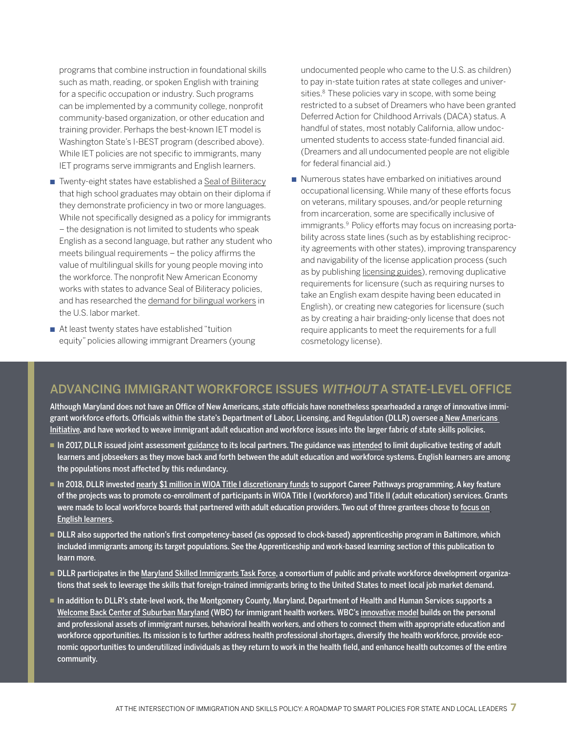programs that combine instruction in foundational skills such as math, reading, or spoken English with training for a specific occupation or industry. Such programs can be implemented by a community college, nonprofit community-based organization, or other education and training provider. Perhaps the best-known IET model is Washington State's I-BEST program (described above). While IET policies are not specific to immigrants, many IET programs serve immigrants and English learners.

- Twenty-eight states have established a [Seal of Biliteracy](http://www.ncsl.org/research/education/state-seals-of-biliteracy.aspx) that high school graduates may obtain on their diploma if they demonstrate proficiency in two or more languages. While not specifically designed as a policy for immigrants – the designation is not limited to students who speak English as a second language, but rather any student who meets bilingual requirements – the policy affirms the value of multilingual skills for young people moving into the workforce. The nonprofit New American Economy works with states to advance Seal of Biliteracy policies, and has researched the [demand for bilingual workers](https://research.newamericaneconomy.org/report/not-lost-in-translation-the-growing-importance-of-foreign-language-skills-in-the-u-s-job-market/) in the U.S. labor market.
- At least twenty states have established "tuition equity" policies allowing immigrant Dreamers (young

undocumented people who came to the U.S. as children) to pay in-state tuition rates at state colleges and universities.<sup>8</sup> These policies vary in scope, with some being restricted to a subset of Dreamers who have been granted Deferred Action for Childhood Arrivals (DACA) status. A handful of states, most notably California, allow undocumented students to access state-funded financial aid. (Dreamers and all undocumented people are not eligible for federal financial aid.)

■ Numerous states have embarked on initiatives around occupational licensing. While many of these efforts focus on veterans, military spouses, and/or people returning from incarceration, some are specifically inclusive of immigrants.9 Policy efforts may focus on increasing portability across state lines (such as by establishing reciprocity agreements with other states), improving transparency and navigability of the license application process (such as by publishing [licensing guides\)](https://www.michigan.gov/lara/0,4601,7-154-10573_68301---,00.html), removing duplicative requirements for licensure (such as requiring nurses to take an English exam despite having been educated in English), or creating new categories for licensure (such as by creating a hair braiding-only license that does not require applicants to meet the requirements for a full cosmetology license).

## ADVANCING IMMIGRANT WORKFORCE ISSUES WITHOUT A STATE-LEVEL OFFICE

Although Maryland does not have an Office of New Americans, state officials have nonetheless spearheaded a range of innovative immigrant workforce efforts. Officials within the state's Department of Labor, Licensing, and Regulation (DLLR) oversee a [New Americans](https://www.dllr.state.md.us/employment/newamerwrkforce.shtml)  [Initiative](https://www.dllr.state.md.us/employment/newamerwrkforce.shtml), and have worked to weave immigrant adult education and workforce issues into the larger fabric of state skills policies.

- n In 2017, DLLR issued joint assessment [guidance](https://www.dllr.state.md.us/employment/mpi/mpi3-17.pdf) to its local partners. The guidance was [intended](https://www.nationalskillscoalition.org/news/blog/new-maryland-policy-will-encourage-better-coordination-between-wioa-title-i-and-title-ii) to limit duplicative testing of adult learners and jobseekers as they move back and forth between the adult education and workforce systems. English learners are among the populations most affected by this redundancy.
- n 2018, DLLR invested [nearly \\$1 million in WIOA Title I discretionary funds](http://dllr.maryland.gov/whatsnews/careerpath.shtml) to support Career Pathways programming. A key feature of the projects was to promote co-enrollment of participants in WIOA Title I (workforce) and Title II (adult education) services. Grants were made to local workforce boards that partnered with adult education providers. Two out of three grantees chose to [focus on](https://www.nationalskillscoalition.org/news/blog/maryland-uses-nearly-1-million-in-wioa-discretionary-funds-to-support-career-pathways-via-co-enrollment) [English learners.](https://www.nationalskillscoalition.org/news/blog/maryland-uses-nearly-1-million-in-wioa-discretionary-funds-to-support-career-pathways-via-co-enrollment)
- <sup>n</sup> DLLR also supported the nation's first competency-based (as opposed to clock-based) apprenticeship program in Baltimore, which included immigrants among its target populations. See the Apprenticeship and work-based learning section of this publication to learn more.
- <sup>n</sup> DLLR participates in the [Maryland Skilled Immigrants Task Force,](https://www.dllr.state.md.us/employment/skilledimmigrant.shtml) a consortium of public and private workforce development organizations that seek to leverage the skills that foreign-trained immigrants bring to the United States to meet local job market demand.
- n addition to DLLR's state-level work, the Montgomery County, Maryland, Department of Health and Human Services supports a [Welcome Back Center of Suburban Maryland](http://www.lhiinfo.org/en/programs-and-activities/welcome-back-center-of-suburban-maryland/) (WBC) for immigrant health workers. WBC's [innovative model](https://www.wbcenters.org/) builds on the personal and professional assets of immigrant nurses, behavioral health workers, and others to connect them with appropriate education and workforce opportunities. Its mission is to further address health professional shortages, diversify the health workforce, provide economic opportunities to underutilized individuals as they return to work in the health field, and enhance health outcomes of the entire community.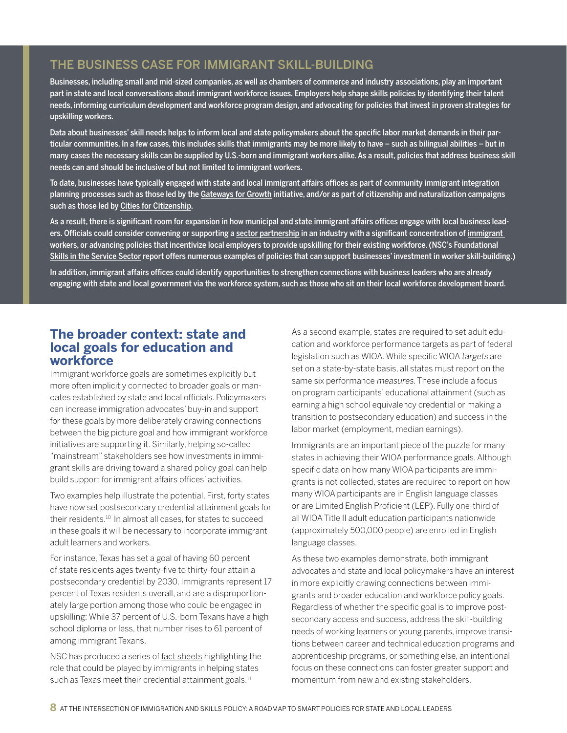# THE BUSINESS CASE FOR IMMIGRANT SKILL-BUILDING

Businesses, including small and mid-sized companies, as well as chambers of commerce and industry associations, play an important part in state and local conversations about immigrant workforce issues. Employers help shape skills policies by identifying their talent needs, informing curriculum development and workforce program design, and advocating for policies that invest in proven strategies for upskilling workers.

Data about businesses' skill needs helps to inform local and state policymakers about the specific labor market demands in their particular communities. In a few cases, this includes skills that immigrants may be more likely to have – such as bilingual abilities – but in many cases the necessary skills can be supplied by U.S.-born and immigrant workers alike. As a result, policies that address business skill needs can and should be inclusive of but not limited to immigrant workers.

To date, businesses have typically engaged with state and local immigrant affairs offices as part of community immigrant integration planning processes such as those led by the [Gateways for Growth](https://www.newamericaneconomy.org/press-release/25-communities-selected-for-gateways-for-growth-challenge-round-ii/) initiative, and/or as part of citizenship and naturalization campaigns such as those led by [Cities for Citizenship](http://www.citiesforcitizenship.com/).

As a result, there is significant room for expansion in how municipal and state immigrant affairs offices engage with local business leaders. Officials could consider convening or supporting a [sector partnership](https://www.nationalskillscoalition.org/state-policy/sector-partnerships) in an industry with a significant concentration of immigrant [workers](https://www.nationalskillscoalition.org/news/blog/blending-employer-worker-investments-to-foster-upskilling), or advancing policies that incentivize local employers to provide [upskilling](https://www.nationalskillscoalition.org/news/blog/business-investment-in-upskilling-for-incumbent-workers-lessons-from-a-pre-lean-esol-program-in-massachusetts) for their existing workforce. (NSC's Foundational [Skills in the Service Sector](https://www.nationalskillscoalition.org/news/blog/nscs-new-report-explores-role-of-skill-building-for-service-sector-workers) report offers numerous examples of policies that can support businesses' investment in worker skill-building.)

In addition, immigrant affairs offices could identify opportunities to strengthen connections with business leaders who are already engaging with state and local government via the workforce system, such as those who sit on their local workforce development board.

## **The broader context: state and local goals for education and workforce**

Immigrant workforce goals are sometimes explicitly but more often implicitly connected to broader goals or mandates established by state and local officials. Policymakers can increase immigration advocates' buy-in and support for these goals by more deliberately drawing connections between the big picture goal and how immigrant workforce initiatives are supporting it. Similarly, helping so-called "mainstream" stakeholders see how investments in immigrant skills are driving toward a shared policy goal can help build support for immigrant affairs offices' activities.

Two examples help illustrate the potential. First, forty states have now set postsecondary credential attainment goals for their residents.<sup>10</sup> In almost all cases, for states to succeed in these goals it will be necessary to incorporate immigrant adult learners and workers.

For instance, Texas has set a goal of having 60 percent of state residents ages twenty-five to thirty-four attain a postsecondary credential by 2030. Immigrants represent 17 percent of Texas residents overall, and are a disproportionately large portion among those who could be engaged in upskilling: While 37 percent of U.S.-born Texans have a high school diploma or less, that number rises to 61 percent of among immigrant Texans.

NSC has produced a series of [fact sheets](http://www.nationalskillscoalition.org/federal-policy/immigration) highlighting the role that could be played by immigrants in helping states such as Texas meet their credential attainment goals.<sup>11</sup>

As a second example, states are required to set adult education and workforce performance targets as part of federal legislation such as WIOA. While specific WIOA targets are set on a state-by-state basis, all states must report on the same six performance measures. These include a focus on program participants' educational attainment (such as earning a high school equivalency credential or making a transition to postsecondary education) and success in the labor market (employment, median earnings).

Immigrants are an important piece of the puzzle for many states in achieving their WIOA performance goals. Although specific data on how many WIOA participants are immigrants is not collected, states are required to report on how many WIOA participants are in English language classes or are Limited English Proficient (LEP). Fully one-third of all WIOA Title II adult education participants nationwide (approximately 500,000 people) are enrolled in English language classes.

As these two examples demonstrate, both immigrant advocates and state and local policymakers have an interest in more explicitly drawing connections between immigrants and broader education and workforce policy goals. Regardless of whether the specific goal is to improve postsecondary access and success, address the skill-building needs of working learners or young parents, improve transitions between career and technical education programs and apprenticeship programs, or something else, an intentional focus on these connections can foster greater support and momentum from new and existing stakeholders.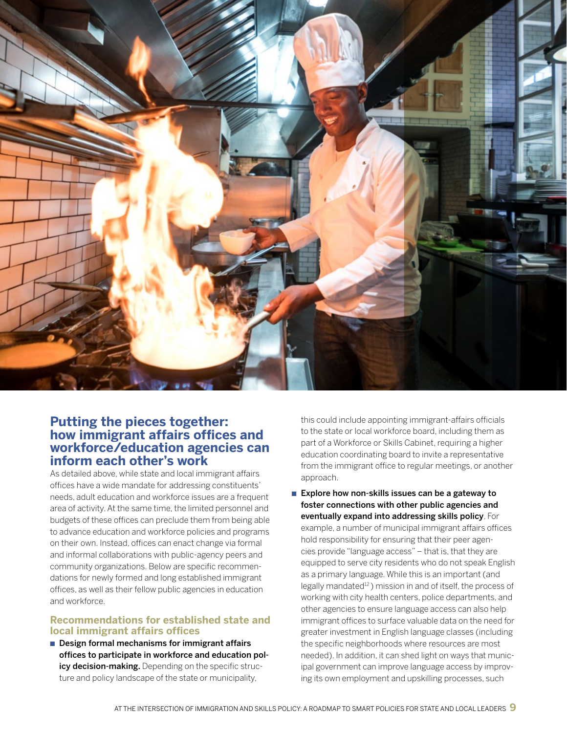

### **Putting the pieces together: how immigrant affairs offices and workforce/education agencies can inform each other's work**

As detailed above, while state and local immigrant affairs offices have a wide mandate for addressing constituents' needs, adult education and workforce issues are a frequent area of activity. At the same time, the limited personnel and budgets of these offices can preclude them from being able to advance education and workforce policies and programs on their own. Instead, offices can enact change via formal and informal collaborations with public-agency peers and community organizations. Below are specific recommendations for newly formed and long established immigrant offices, as well as their fellow public agencies in education and workforce.

#### **Recommendations for established state and local immigrant affairs offices**

 $\blacksquare$  Design formal mechanisms for immigrant affairs offices to participate in workforce and education policy decision-making. Depending on the specific structure and policy landscape of the state or municipality,

this could include appointing immigrant-affairs officials to the state or local workforce board, including them as part of a Workforce or Skills Cabinet, requiring a higher education coordinating board to invite a representative from the immigrant office to regular meetings, or another approach.

Explore how non-skills issues can be a gateway to foster connections with other public agencies and eventually expand into addressing skills policy. For example, a number of municipal immigrant affairs offices hold responsibility for ensuring that their peer agencies provide "language access" – that is, that they are equipped to serve city residents who do not speak English as a primary language. While this is an important (and legally mandated<sup>12</sup>) mission in and of itself, the process of working with city health centers, police departments, and other agencies to ensure language access can also help immigrant offices to surface valuable data on the need for greater investment in English language classes (including the specific neighborhoods where resources are most needed). In addition, it can shed light on ways that municipal government can improve language access by improving its own employment and upskilling processes, such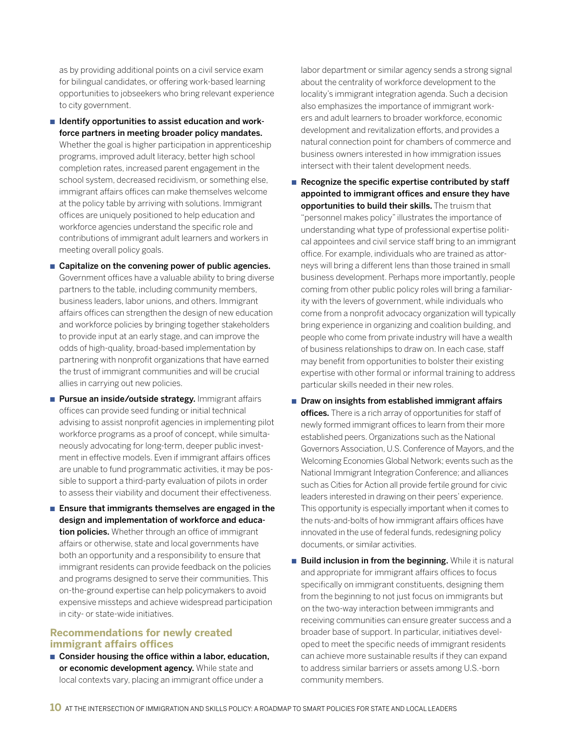as by providing additional points on a civil service exam for bilingual candidates, or offering work-based learning opportunities to jobseekers who bring relevant experience to city government.

- $\blacksquare$  Identify opportunities to assist education and workforce partners in meeting broader policy mandates. Whether the goal is higher participation in apprenticeship programs, improved adult literacy, better high school completion rates, increased parent engagement in the school system, decreased recidivism, or something else, immigrant affairs offices can make themselves welcome at the policy table by arriving with solutions. Immigrant offices are uniquely positioned to help education and workforce agencies understand the specific role and contributions of immigrant adult learners and workers in meeting overall policy goals.
- $\blacksquare$  Capitalize on the convening power of public agencies. Government offices have a valuable ability to bring diverse partners to the table, including community members, business leaders, labor unions, and others. Immigrant affairs offices can strengthen the design of new education and workforce policies by bringing together stakeholders to provide input at an early stage, and can improve the odds of high-quality, broad-based implementation by partnering with nonprofit organizations that have earned the trust of immigrant communities and will be crucial allies in carrying out new policies.
- **n** Pursue an inside/outside strategy. Immigrant affairs offices can provide seed funding or initial technical advising to assist nonprofit agencies in implementing pilot workforce programs as a proof of concept, while simultaneously advocating for long-term, deeper public investment in effective models. Even if immigrant affairs offices are unable to fund programmatic activities, it may be possible to support a third-party evaluation of pilots in order to assess their viability and document their effectiveness.
- $\blacksquare$  Ensure that immigrants themselves are engaged in the design and implementation of workforce and education policies. Whether through an office of immigrant affairs or otherwise, state and local governments have both an opportunity and a responsibility to ensure that immigrant residents can provide feedback on the policies and programs designed to serve their communities. This on-the-ground expertise can help policymakers to avoid expensive missteps and achieve widespread participation in city- or state-wide initiatives.

#### **Recommendations for newly created immigrant affairs offices**

 $\blacksquare$  Consider housing the office within a labor, education, or economic development agency. While state and local contexts vary, placing an immigrant office under a

labor department or similar agency sends a strong signal about the centrality of workforce development to the locality's immigrant integration agenda. Such a decision also emphasizes the importance of immigrant workers and adult learners to broader workforce, economic development and revitalization efforts, and provides a natural connection point for chambers of commerce and business owners interested in how immigration issues intersect with their talent development needs.

- $\blacksquare$  Recognize the specific expertise contributed by staff appointed to immigrant offices and ensure they have opportunities to build their skills. The truism that "personnel makes policy" illustrates the importance of understanding what type of professional expertise political appointees and civil service staff bring to an immigrant office. For example, individuals who are trained as attorneys will bring a different lens than those trained in small business development. Perhaps more importantly, people coming from other public policy roles will bring a familiarity with the levers of government, while individuals who come from a nonprofit advocacy organization will typically bring experience in organizing and coalition building, and people who come from private industry will have a wealth of business relationships to draw on. In each case, staff may benefit from opportunities to bolster their existing expertise with other formal or informal training to address particular skills needed in their new roles.
- $\blacksquare$  Draw on insights from established immigrant affairs offices. There is a rich array of opportunities for staff of newly formed immigrant offices to learn from their more established peers. Organizations such as the National Governors Association, U.S. Conference of Mayors, and the Welcoming Economies Global Network; events such as the National Immigrant Integration Conference; and alliances such as Cities for Action all provide fertile ground for civic leaders interested in drawing on their peers' experience. This opportunity is especially important when it comes to the nuts-and-bolts of how immigrant affairs offices have innovated in the use of federal funds, redesigning policy documents, or similar activities.
- **n** Build inclusion in from the beginning. While it is natural and appropriate for immigrant affairs offices to focus specifically on immigrant constituents, designing them from the beginning to not just focus on immigrants but on the two-way interaction between immigrants and receiving communities can ensure greater success and a broader base of support. In particular, initiatives developed to meet the specific needs of immigrant residents can achieve more sustainable results if they can expand to address similar barriers or assets among U.S.-born community members.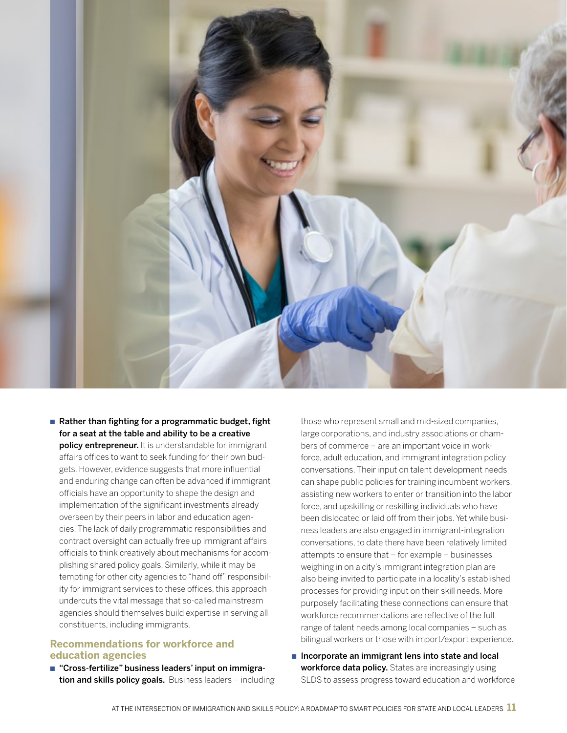

Rather than fighting for a programmatic budget, fight for a seat at the table and ability to be a creative policy entrepreneur. It is understandable for immigrant affairs offices to want to seek funding for their own budgets. However, evidence suggests that more influential and enduring change can often be advanced if immigrant officials have an opportunity to shape the design and implementation of the significant investments already overseen by their peers in labor and education agencies. The lack of daily programmatic responsibilities and contract oversight can actually free up immigrant affairs officials to think creatively about mechanisms for accomplishing shared policy goals. Similarly, while it may be tempting for other city agencies to "hand off" responsibility for immigrant services to these offices, this approach undercuts the vital message that so-called mainstream agencies should themselves build expertise in serving all constituents, including immigrants.

#### **Recommendations for workforce and education agencies**

■ "Cross-fertilize" business leaders' input on immigration and skills policy goals. Business leaders - including those who represent small and mid-sized companies, large corporations, and industry associations or chambers of commerce – are an important voice in workforce, adult education, and immigrant integration policy conversations. Their input on talent development needs can shape public policies for training incumbent workers, assisting new workers to enter or transition into the labor force, and upskilling or reskilling individuals who have been dislocated or laid off from their jobs. Yet while business leaders are also engaged in immigrant-integration conversations, to date there have been relatively limited attempts to ensure that – for example – businesses weighing in on a city's immigrant integration plan are also being invited to participate in a locality's established processes for providing input on their skill needs. More purposely facilitating these connections can ensure that workforce recommendations are reflective of the full range of talent needs among local companies – such as bilingual workers or those with import/export experience.

n Incorporate an immigrant lens into state and local workforce data policy. States are increasingly using SLDS to assess progress toward education and workforce